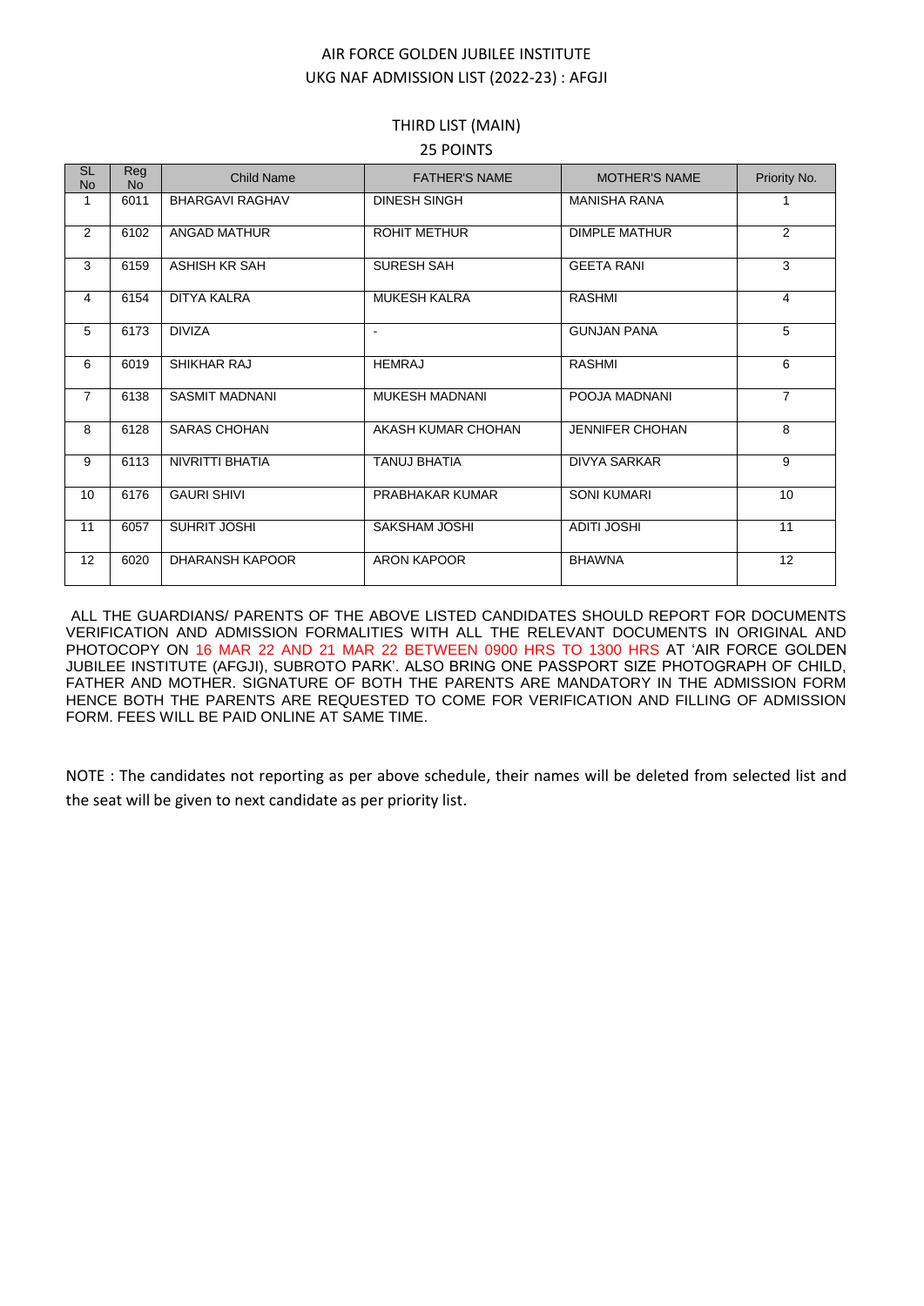## AIR FORCE GOLDEN JUBILEE INSTITUTE UKG NAF ADMISSION LIST (2022-23) : AFGJI

## THIRD LIST (MAIN) 25 POINTS

| <b>SL</b><br><b>No</b> | <b>Reg</b><br><b>No</b> | <b>Child Name</b>      | <b>FATHER'S NAME</b>  | <b>MOTHER'S NAME</b>   | Priority No.   |
|------------------------|-------------------------|------------------------|-----------------------|------------------------|----------------|
| 1                      | 6011                    | <b>BHARGAVI RAGHAV</b> | <b>DINESH SINGH</b>   | <b>MANISHA RANA</b>    |                |
| 2                      | 6102                    | ANGAD MATHUR           | <b>ROHIT METHUR</b>   | <b>DIMPLE MATHUR</b>   | 2              |
| 3                      | 6159                    | ASHISH KR SAH          | <b>SURESH SAH</b>     | <b>GEETA RANI</b>      | 3              |
| 4                      | 6154                    | <b>DITYA KALRA</b>     | <b>MUKESH KALRA</b>   | <b>RASHMI</b>          | $\overline{4}$ |
| 5                      | 6173                    | <b>DIVIZA</b>          | $\blacksquare$        | <b>GUNJAN PANA</b>     | 5              |
| 6                      | 6019                    | <b>SHIKHAR RAJ</b>     | <b>HEMRAJ</b>         | <b>RASHMI</b>          | 6              |
| $\overline{7}$         | 6138                    | <b>SASMIT MADNANI</b>  | <b>MUKESH MADNANI</b> | POOJA MADNANI          | $\overline{7}$ |
| 8                      | 6128                    | <b>SARAS CHOHAN</b>    | AKASH KUMAR CHOHAN    | <b>JENNIFER CHOHAN</b> | 8              |
| 9                      | 6113                    | <b>NIVRITTI BHATIA</b> | <b>TANUJ BHATIA</b>   | <b>DIVYA SARKAR</b>    | 9              |
| 10                     | 6176                    | <b>GAURI SHIVI</b>     | PRABHAKAR KUMAR       | <b>SONI KUMARI</b>     | 10             |
| 11                     | 6057                    | SUHRIT JOSHI           | SAKSHAM JOSHI         | <b>ADITI JOSHI</b>     | 11             |
| 12                     | 6020                    | <b>DHARANSH KAPOOR</b> | <b>ARON KAPOOR</b>    | <b>BHAWNA</b>          | 12             |

ALL THE GUARDIANS/ PARENTS OF THE ABOVE LISTED CANDIDATES SHOULD REPORT FOR DOCUMENTS VERIFICATION AND ADMISSION FORMALITIES WITH ALL THE RELEVANT DOCUMENTS IN ORIGINAL AND PHOTOCOPY ON 16 MAR 22 AND 21 MAR 22 BETWEEN 0900 HRS TO 1300 HRS AT 'AIR FORCE GOLDEN JUBILEE INSTITUTE (AFGJI), SUBROTO PARK'. ALSO BRING ONE PASSPORT SIZE PHOTOGRAPH OF CHILD, FATHER AND MOTHER. SIGNATURE OF BOTH THE PARENTS ARE MANDATORY IN THE ADMISSION FORM HENCE BOTH THE PARENTS ARE REQUESTED TO COME FOR VERIFICATION AND FILLING OF ADMISSION FORM. FEES WILL BE PAID ONLINE AT SAME TIME.

NOTE : The candidates not reporting as per above schedule, their names will be deleted from selected list and the seat will be given to next candidate as per priority list.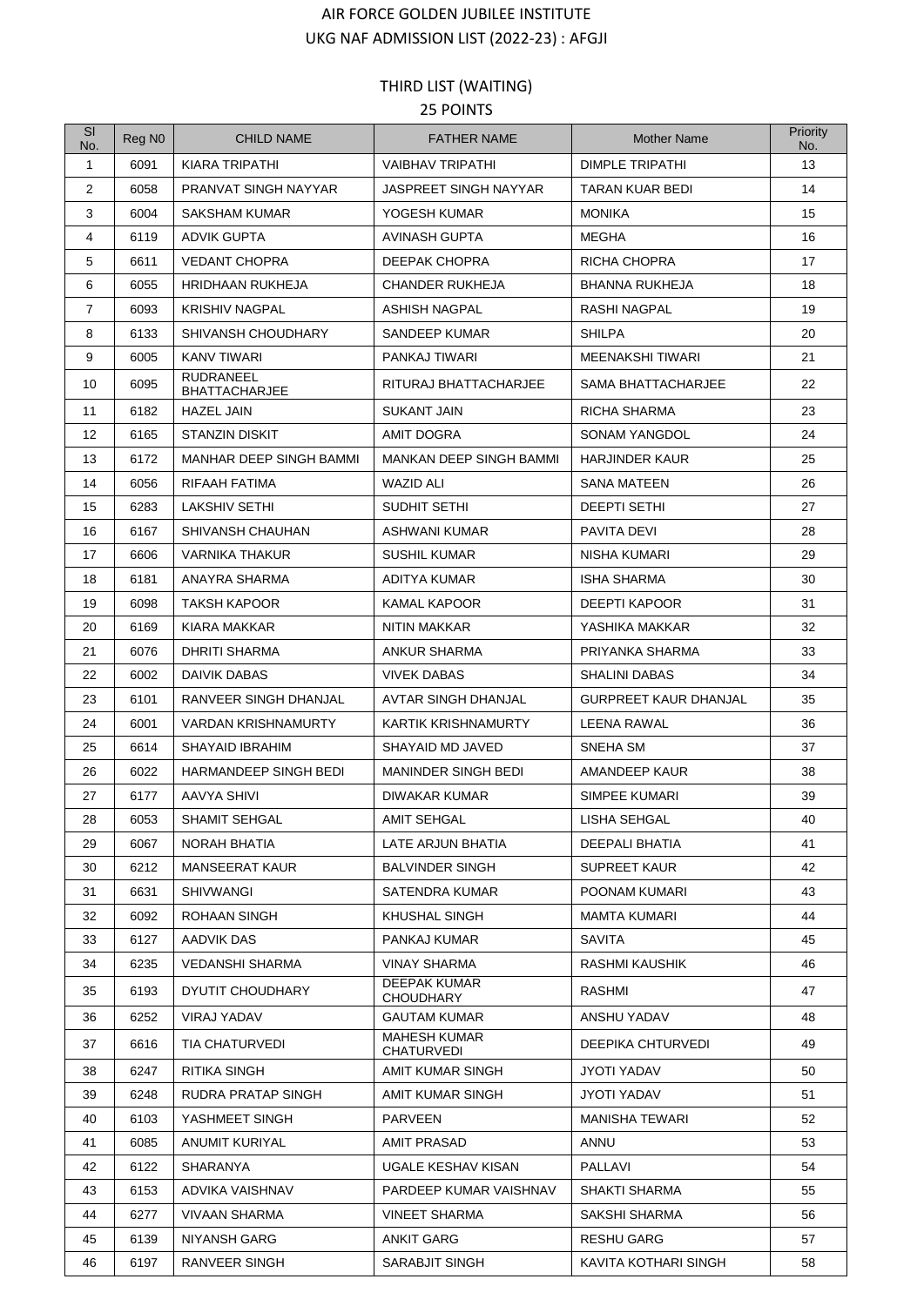## AIR FORCE GOLDEN JUBILEE INSTITUTE UKG NAF ADMISSION LIST (2022-23) : AFGJI

## THIRD LIST (WAITING) 25 POINTS

| SI<br>No.      | Reg N <sub>0</sub> | <b>CHILD NAME</b>                        | <b>FATHER NAME</b>                       | <b>Mother Name</b>           | Priority<br>No. |
|----------------|--------------------|------------------------------------------|------------------------------------------|------------------------------|-----------------|
| $\mathbf{1}$   | 6091               | KIARA TRIPATHI                           | <b>VAIBHAV TRIPATHI</b>                  | <b>DIMPLE TRIPATHI</b>       | 13              |
| 2              | 6058               | PRANVAT SINGH NAYYAR                     | JASPREET SINGH NAYYAR                    | TARAN KUAR BEDI              | 14              |
| 3              | 6004               | <b>SAKSHAM KUMAR</b>                     | YOGESH KUMAR                             | <b>MONIKA</b>                | 15              |
| 4              | 6119               | <b>ADVIK GUPTA</b>                       | AVINASH GUPTA                            | MEGHA                        | 16              |
| 5              | 6611               | <b>VEDANT CHOPRA</b>                     | <b>DEEPAK CHOPRA</b>                     | <b>RICHA CHOPRA</b>          | 17              |
| 6              | 6055               | <b>HRIDHAAN RUKHEJA</b>                  | <b>CHANDER RUKHEJA</b>                   | <b>BHANNA RUKHEJA</b>        | 18              |
| $\overline{7}$ | 6093               | <b>KRISHIV NAGPAL</b>                    | ASHISH NAGPAL                            | <b>RASHI NAGPAL</b>          | 19              |
| 8              | 6133               | SHIVANSH CHOUDHARY                       | SANDEEP KUMAR                            | <b>SHILPA</b>                | 20              |
| 9              | 6005               | <b>KANV TIWARI</b>                       | PANKAJ TIWARI                            | MEENAKSHI TIWARI             | 21              |
| 10             | 6095               | <b>RUDRANEEL</b><br><b>BHATTACHARJEE</b> | RITURAJ BHATTACHARJEE                    | SAMA BHATTACHARJEE           | 22              |
| 11             | 6182               | <b>HAZEL JAIN</b>                        | <b>SUKANT JAIN</b>                       | <b>RICHA SHARMA</b>          | 23              |
| 12             | 6165               | <b>STANZIN DISKIT</b>                    | AMIT DOGRA                               | <b>SONAM YANGDOL</b>         | 24              |
| 13             | 6172               | MANHAR DEEP SINGH BAMMI                  | MANKAN DEEP SINGH BAMMI                  | <b>HARJINDER KAUR</b>        | 25              |
| 14             | 6056               | RIFAAH FATIMA                            | WAZID ALI                                | <b>SANA MATEEN</b>           | 26              |
| 15             | 6283               | LAKSHIV SETHI                            | SUDHIT SETHI                             | <b>DEEPTI SETHI</b>          | 27              |
| 16             | 6167               | SHIVANSH CHAUHAN                         | ASHWANI KUMAR                            | <b>PAVITA DEVI</b>           | 28              |
| 17             | 6606               | <b>VARNIKA THAKUR</b>                    | <b>SUSHIL KUMAR</b>                      | NISHA KUMARI                 | 29              |
| 18             | 6181               | ANAYRA SHARMA                            | ADITYA KUMAR                             | <b>ISHA SHARMA</b>           | 30              |
| 19             | 6098               | TAKSH KAPOOR                             | KAMAL KAPOOR                             | DEEPTI KAPOOR                | 31              |
| 20             | 6169               | KIARA MAKKAR                             | NITIN MAKKAR                             | YASHIKA MAKKAR               | 32              |
| 21             | 6076               | DHRITI SHARMA                            | ANKUR SHARMA                             | PRIYANKA SHARMA              | 33              |
| 22             | 6002               | DAIVIK DABAS                             | <b>VIVEK DABAS</b>                       | <b>SHALINI DABAS</b>         | 34              |
| 23             | 6101               | RANVEER SINGH DHANJAL                    | <b>AVTAR SINGH DHANJAL</b>               | <b>GURPREET KAUR DHANJAL</b> | 35              |
| 24             | 6001               | <b>VARDAN KRISHNAMURTY</b>               | KARTIK KRISHNAMURTY                      | LEENA RAWAL                  | 36              |
| 25             | 6614               | <b>SHAYAID IBRAHIM</b>                   | SHAYAID MD JAVED                         | SNEHA SM                     | 37              |
| 26             | 6022               | HARMANDEEP SINGH BEDI                    | MANINDER SINGH BEDI                      | AMANDEEP KAUR                | 38              |
| 27             | 6177               | AAVYA SHIVI                              | DIWAKAR KUMAR                            | SIMPEE KUMARI                | 39              |
| 28             | 6053               | SHAMIT SEHGAL                            | AMIT SEHGAL                              | LISHA SEHGAL                 | 40              |
| 29             | 6067               | NORAH BHATIA                             | LATE ARJUN BHATIA                        | DEEPALI BHATIA               | 41              |
| 30             | 6212               | <b>MANSEERAT KAUR</b>                    | <b>BALVINDER SINGH</b>                   | <b>SUPREET KAUR</b>          | 42              |
| 31             | 6631               | <b>SHIVWANGI</b>                         | SATENDRA KUMAR                           | POONAM KUMARI                | 43              |
| 32             | 6092               | ROHAAN SINGH                             | KHUSHAL SINGH                            | MAMTA KUMARI                 | 44              |
| 33             | 6127               | AADVIK DAS                               | PANKAJ KUMAR                             | <b>SAVITA</b>                | 45              |
| 34             | 6235               | VEDANSHI SHARMA                          | VINAY SHARMA                             | RASHMI KAUSHIK               | 46              |
| 35             | 6193               | DYUTIT CHOUDHARY                         | DEEPAK KUMAR<br><b>CHOUDHARY</b>         | RASHMI                       | 47              |
| 36             | 6252               | VIRAJ YADAV                              | <b>GAUTAM KUMAR</b>                      | ANSHU YADAV                  | 48              |
| 37             | 6616               | TIA CHATURVEDI                           | <b>MAHESH KUMAR</b><br><b>CHATURVEDI</b> | DEEPIKA CHTURVEDI            | 49              |
| 38             | 6247               | RITIKA SINGH                             | AMIT KUMAR SINGH                         | <b>JYOTI YADAV</b>           | 50              |
| 39             | 6248               | RUDRA PRATAP SINGH                       | AMIT KUMAR SINGH                         | JYOTI YADAV                  | 51              |
| 40             | 6103               | YASHMEET SINGH                           | <b>PARVEEN</b>                           | <b>MANISHA TEWARI</b>        | 52              |
| 41             | 6085               | ANUMIT KURIYAL                           | AMIT PRASAD                              | ANNU                         | 53              |
| 42             | 6122               | SHARANYA                                 | UGALE KESHAV KISAN                       | PALLAVI                      | 54              |
| 43             | 6153               | ADVIKA VAISHNAV                          | PARDEEP KUMAR VAISHNAV                   | SHAKTI SHARMA                | 55              |
| 44             | 6277               | VIVAAN SHARMA                            | <b>VINEET SHARMA</b>                     | SAKSHI SHARMA                | 56              |
| 45             | 6139               | NIYANSH GARG                             | <b>ANKIT GARG</b>                        | <b>RESHU GARG</b>            | 57              |
| 46             | 6197               | RANVEER SINGH                            | SARABJIT SINGH                           | KAVITA KOTHARI SINGH         | 58              |